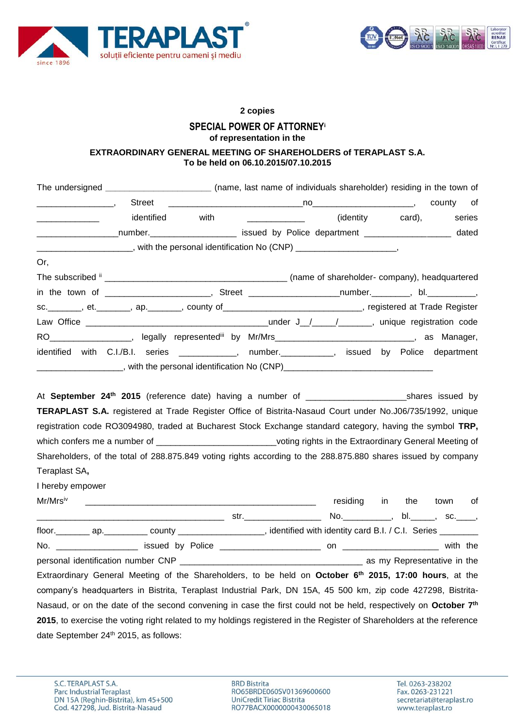



## **2 copies**

## **SPECIAL POWER OF ATTORNEY<sup>i</sup> of representation in the**

## **EXTRAORDINARY GENERAL MEETING OF SHAREHOLDERS of TERAPLAST S.A. To be held on 06.10.2015/07.10.2015**

|                                              |            |      | The undersigned _____________________________ (name, last name of individuals shareholder) residing in the town of |           |  |
|----------------------------------------------|------------|------|--------------------------------------------------------------------------------------------------------------------|-----------|--|
|                                              |            |      |                                                                                                                    | county of |  |
| the control of the control of the control of | identified | with | (identity card), series                                                                                            |           |  |
|                                              |            |      | ____________________number.________________________ issued by Police department ____________________ dated         |           |  |
|                                              |            |      | _________________________, with the personal identification No (CNP) _______________________,                      |           |  |
| Or,                                          |            |      |                                                                                                                    |           |  |
|                                              |            |      |                                                                                                                    |           |  |
|                                              |            |      |                                                                                                                    |           |  |
|                                              |            |      | sc. ________, et. _______, ap. _______, county of ______________________________, registered at Trade Register     |           |  |
|                                              |            |      |                                                                                                                    |           |  |
|                                              |            |      | RO___________________, legally represented <sup>iii</sup> by Mr/Mrs_______________________________, as Manager,    |           |  |
|                                              |            |      | identified with C.I./B.I. series ____________, number.__________, issued by Police department                      |           |  |
|                                              |            |      |                                                                                                                    |           |  |
|                                              |            |      |                                                                                                                    |           |  |
|                                              |            |      |                                                                                                                    |           |  |
|                                              |            |      | TERAPLAST S.A. registered at Trade Register Office of Bistrita-Nasaud Court under No.J06/735/1992, unique          |           |  |
|                                              |            |      | registration code RO3094980, traded at Bucharest Stock Exchange standard category, having the symbol TRP,          |           |  |
|                                              |            |      | which confers me a number of ______________________________voting rights in the Extraordinary General Meeting of   |           |  |
|                                              |            |      | Shareholders, of the total of 288.875.849 voting rights according to the 288.875.880 shares issued by company      |           |  |
| Teraplast SA,                                |            |      |                                                                                                                    |           |  |

I hereby empower

| Mr/Mrsiv |                                                                                                                             |                                                                                                                                                                                                                                | residing                           | in | the | town | of |
|----------|-----------------------------------------------------------------------------------------------------------------------------|--------------------------------------------------------------------------------------------------------------------------------------------------------------------------------------------------------------------------------|------------------------------------|----|-----|------|----|
|          |                                                                                                                             | str. And the structure of the structure of the structure of the structure of the structure of the structure of the structure of the structure of the structure of the structure of the structure of the structure of the struc | No. ________, bl. _____, sc. ____, |    |     |      |    |
|          | floor. __________ ap. ____________ county _____________________, identified with identity card B.I. / C.I. Series _________ |                                                                                                                                                                                                                                |                                    |    |     |      |    |
|          |                                                                                                                             |                                                                                                                                                                                                                                |                                    |    |     |      |    |
|          |                                                                                                                             |                                                                                                                                                                                                                                |                                    |    |     |      |    |
|          | Extraordinary General Meeting of the Shareholders, to be held on October 6 <sup>th</sup> 2015, 17:00 hours, at the          |                                                                                                                                                                                                                                |                                    |    |     |      |    |
|          | company's headquarters in Bistrita, Teraplast Industrial Park, DN 15A, 45 500 km, zip code 427298, Bistrita-                |                                                                                                                                                                                                                                |                                    |    |     |      |    |
|          | Nasaud, or on the date of the second convening in case the first could not be held, respectively on October 7 <sup>th</sup> |                                                                                                                                                                                                                                |                                    |    |     |      |    |
|          | 2015, to exercise the voting right related to my holdings registered in the Register of Shareholders at the reference       |                                                                                                                                                                                                                                |                                    |    |     |      |    |
|          | date September 24th 2015, as follows:                                                                                       |                                                                                                                                                                                                                                |                                    |    |     |      |    |

**BRD Bistrita** RO65BRDE060SV01369600600 UniCredit Tiriac Bistrita<br>RO77BACX0000000430065018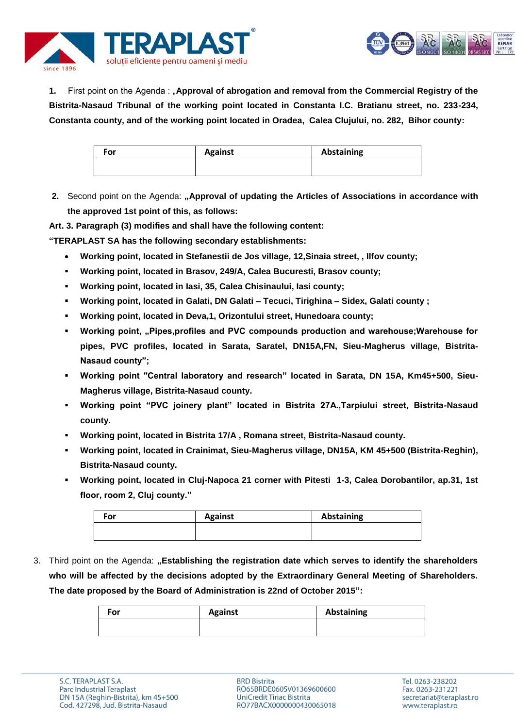



**1.** First point on the Agenda : "**Approval of abrogation and removal from the Commercial Registry of the Bistrita-Nasaud Tribunal of the working point located in Constanta I.C. Bratianu street, no. 233-234, Constanta county, and of the working point located in Oradea, Calea Clujului, no. 282, Bihor county:**

| For | <b>Against</b> | Abstaining |
|-----|----------------|------------|
|     |                |            |

**2.** Second point on the Agenda: **"Approval of updating the Articles of Associations in accordance with the approved 1st point of this, as follows:** 

**Art. 3. Paragraph (3) modifies and shall have the following content:**

**"TERAPLAST SA has the following secondary establishments:** 

- **Working point, located in Stefanestii de Jos village, 12,Sinaia street, , Ilfov county;**
- **Working point, located in Brasov, 249/A, Calea Bucuresti, Brasov county;**
- **Working point, located in Iasi, 35, Calea Chisinaului, Iasi county;**
- **Working point, located in Galati, DN Galati – Tecuci, Tirighina – Sidex, Galati county ;**
- **Working point, located in Deva,1, Orizontului street, Hunedoara county;**
- **Working point, "Pipes,profiles and PVC compounds production and warehouse; Warehouse for pipes, PVC profiles, located in Sarata, Saratel, DN15A,FN, Sieu-Magherus village, Bistrita-Nasaud county";**
- **Working point "Central laboratory and research" located in Sarata, DN 15A, Km45+500, Sieu-Magherus village, Bistrita-Nasaud county.**
- **Working point "PVC joinery plant" located in Bistrita 27A.,Tarpiului street, Bistrita-Nasaud county.**
- **Working point, located in Bistrita 17/A , Romana street, Bistrita-Nasaud county.**
- **Working point, located in Crainimat, Sieu-Magherus village, DN15A, KM 45+500 (Bistrita-Reghin), Bistrita-Nasaud county.**
- **Working point, located in Cluj-Napoca 21 corner with Pitesti 1-3, Calea Dorobantilor, ap.31, 1st floor, room 2, Cluj county."**

| For | <b>Against</b> | Abstaining |
|-----|----------------|------------|
|     |                |            |

3. Third point on the Agenda: "Establishing the registration date which serves to identify the shareholders **who will be affected by the decisions adopted by the Extraordinary General Meeting of Shareholders. The date proposed by the Board of Administration is 22nd of October 2015":**

| For | <b>Against</b> | Abstaining |
|-----|----------------|------------|
|     |                |            |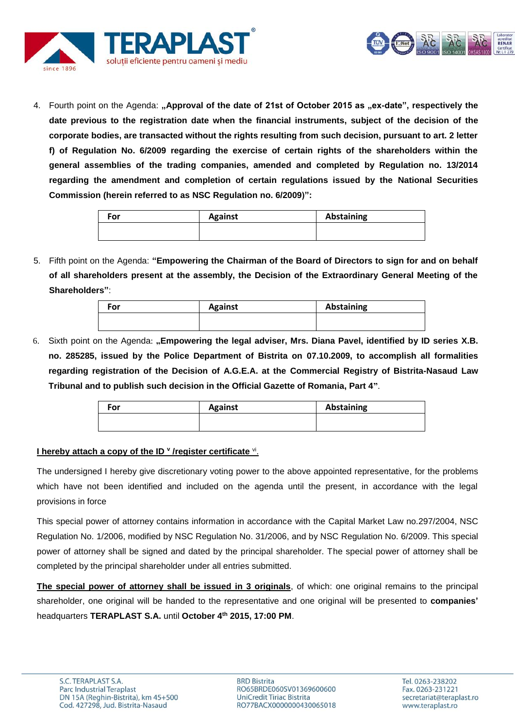

4. Fourth point on the Agenda: "Approval of the date of 21st of October 2015 as "ex-date", respectively the **date previous to the registration date when the financial instruments, subject of the decision of the corporate bodies, are transacted without the rights resulting from such decision, pursuant to art. 2 letter f) of Regulation No. 6/2009 regarding the exercise of certain rights of the shareholders within the general assemblies of the trading companies, amended and completed by Regulation no. 13/2014 regarding the amendment and completion of certain regulations issued by the National Securities Commission (herein referred to as NSC Regulation no. 6/2009)":**

| For | <b>Against</b> | Abstaining |
|-----|----------------|------------|
|     |                |            |

5. Fifth point on the Agenda: **"Empowering the Chairman of the Board of Directors to sign for and on behalf of all shareholders present at the assembly, the Decision of the Extraordinary General Meeting of the Shareholders"**:

| For | <b>Against</b> | <b>Abstaining</b> |
|-----|----------------|-------------------|
|     |                |                   |

6. Sixth point on the Agenda: **"Empowering the legal adviser, Mrs. Diana Pavel, identified by ID series X.B. no. 285285, issued by the Police Department of Bistrita on 07.10.2009, to accomplish all formalities regarding registration of the Decision of A.G.E.A. at the Commercial Registry of Bistrita-Nasaud Law Tribunal and to publish such decision in the Official Gazette of Romania, Part 4"**.

| For | <b>Against</b> | Abstaining |
|-----|----------------|------------|
|     |                |            |
|     |                |            |

## **I hereby attach a copy of the ID <sup>v</sup> /register certificate vi.**

The undersigned I hereby give discretionary voting power to the above appointed representative, for the problems which have not been identified and included on the agenda until the present, in accordance with the legal provisions in force

This special power of attorney contains information in accordance with the Capital Market Law no.297/2004, NSC Regulation No. 1/2006, modified by NSC Regulation No. 31/2006, and by NSC Regulation No. 6/2009. This special power of attorney shall be signed and dated by the principal shareholder. The special power of attorney shall be completed by the principal shareholder under all entries submitted.

**The special power of attorney shall be issued in 3 originals**, of which: one original remains to the principal shareholder, one original will be handed to the representative and one original will be presented to **companies'** headquarters **TERAPLAST S.A.** until **October 4 th 2015, 17:00 PM**.